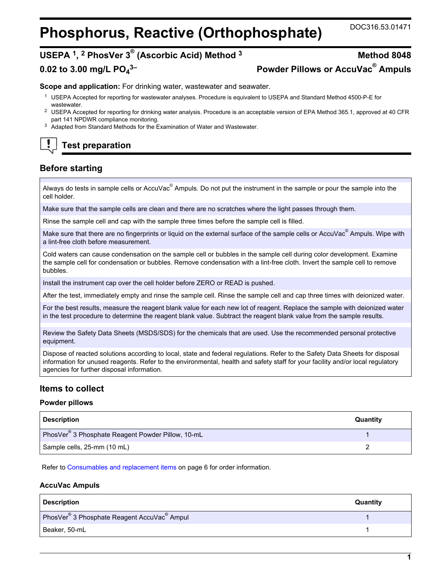# **Phosphorus, Reactive (Orthophosphate)** DOC316.53.01471

# **USEPA <sup>1</sup> , 2 PhosVer 3® (Ascorbic Acid) Method <sup>3</sup> Method 8048**

**0.02 to 3.00 mg/L PO<sup>4</sup>**

# **3– Powder Pillows or AccuVac® Ampuls**

**Scope and application:** For drinking water, wastewater and seawater.

- <sup>1</sup> USEPA Accepted for reporting for wastewater analyses. Procedure is equivalent to USEPA and Standard Method 4500-P-E for wastewater.
- <sup>2</sup> USEPA Accepted for reporting for drinking water analysis. Procedure is an acceptable version of EPA Method 365.1, approved at 40 CFR part 141 NPDWR compliance monitoring.
- <sup>3</sup> Adapted from Standard Methods for the Examination of Water and Wastewater.

# **Test preparation**

# **Before starting**

Always do tests in sample cells or AccuVac $^\circ$  Ampuls. Do not put the instrument in the sample or pour the sample into the cell holder.

Make sure that the sample cells are clean and there are no scratches where the light passes through them.

Rinse the sample cell and cap with the sample three times before the sample cell is filled.

Make sure that there are no fingerprints or liquid on the external surface of the sample cells or AccuVac $^\circ$  Ampuls. Wipe with a lint-free cloth before measurement.

Cold waters can cause condensation on the sample cell or bubbles in the sample cell during color development. Examine the sample cell for condensation or bubbles. Remove condensation with a lint-free cloth. Invert the sample cell to remove bubbles.

Install the instrument cap over the cell holder before ZERO or READ is pushed.

After the test, immediately empty and rinse the sample cell. Rinse the sample cell and cap three times with deionized water.

For the best results, measure the reagent blank value for each new lot of reagent. Replace the sample with deionized water in the test procedure to determine the reagent blank value. Subtract the reagent blank value from the sample results.

Review the Safety Data Sheets (MSDS/SDS) for the chemicals that are used. Use the recommended personal protective equipment.

Dispose of reacted solutions according to local, state and federal regulations. Refer to the Safety Data Sheets for disposal information for unused reagents. Refer to the environmental, health and safety staff for your facility and/or local regulatory agencies for further disposal information.

# **Items to collect**

#### **Powder pillows**

| <b>Description</b>                                            | Quantity |
|---------------------------------------------------------------|----------|
| PhosVer <sup>®</sup> 3 Phosphate Reagent Powder Pillow, 10-mL |          |
| Sample cells, 25-mm (10 mL)                                   |          |

Refer to [Consumables and replacement items](#page-5-0) on page 6 for order information.

#### **AccuVac Ampuls**

| <b>Description</b>                                                  | Quantity |
|---------------------------------------------------------------------|----------|
| PhosVer <sup>®</sup> 3 Phosphate Reagent AccuVac <sup>®</sup> Ampul |          |
| l Beaker, 50-mL                                                     |          |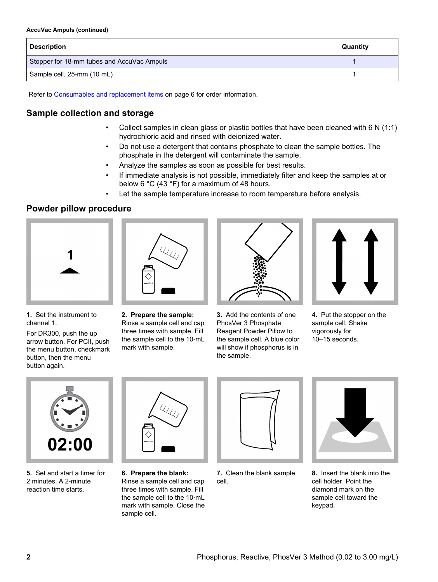#### **AccuVac Ampuls (continued)**

| <b>Description</b>                         | Quantity |
|--------------------------------------------|----------|
| Stopper for 18-mm tubes and AccuVac Ampuls |          |
| Sample cell, 25-mm (10 mL)                 |          |

Refer to [Consumables and replacement items](#page-5-0) on page 6 for order information.

# **Sample collection and storage**

- Collect samples in clean glass or plastic bottles that have been cleaned with 6 N (1:1) hydrochloric acid and rinsed with deionized water.
- Do not use a detergent that contains phosphate to clean the sample bottles. The phosphate in the detergent will contaminate the sample.
- Analyze the samples as soon as possible for best results.
- If immediate analysis is not possible, immediately filter and keep the samples at or below 6 °C (43 °F) for a maximum of 48 hours.
- Let the sample temperature increase to room temperature before analysis.

# **Powder pillow procedure**





**1.** Set the instrument to channel 1.

For DR300, push the up arrow button. For PCII, push the menu button, checkmark button, then the menu button again.

**2. Prepare the sample:** Rinse a sample cell and cap three times with sample. Fill the sample cell to the 10‑mL mark with sample.



**3.** Add the contents of one PhosVer 3 Phosphate Reagent Powder Pillow to the sample cell. A blue color will show if phosphorus is in the sample.



**4.** Put the stopper on the sample cell. Shake vigorously for 10–15 seconds.



**5.** Set and start a timer for 2 minutes. A 2‑minute reaction time starts.



**6. Prepare the blank:** Rinse a sample cell and cap three times with sample. Fill the sample cell to the 10‑mL mark with sample. Close the sample cell.



**7.** Clean the blank sample cell.



**8.** Insert the blank into the cell holder. Point the diamond mark on the sample cell toward the keypad.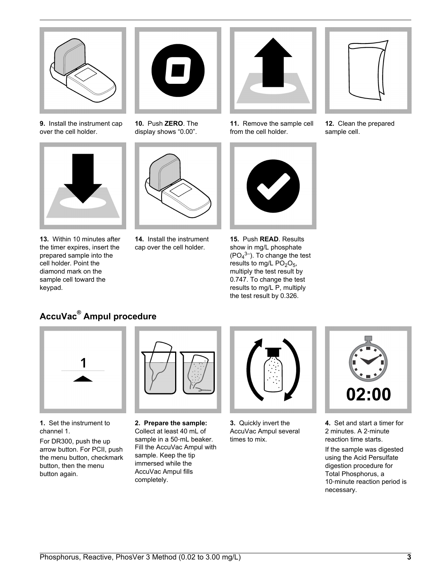

**9.** Install the instrument cap over the cell holder.



**13.** Within 10 minutes after the timer expires, insert the prepared sample into the cell holder. Point the diamond mark on the sample cell toward the keypad.



**10.** Push **ZERO**. The display shows "0.00".



**14.** Install the instrument cap over the cell holder.



**11.** Remove the sample cell from the cell holder.



**15.** Push **READ**. Results show in mg/L phosphate  $(PO<sub>4</sub><sup>3–</sup>)$ . To change the test results to mg/L  $PO<sub>2</sub>O<sub>5</sub>$ , multiply the test result by 0.747. To change the test results to mg/L P, multiply the test result by 0.326.



**12.** Clean the prepared sample cell.

# **AccuVac® Ampul procedure**



**1.** Set the instrument to channel 1.

For DR300, push the up arrow button. For PCII, push the menu button, checkmark button, then the menu button again.



**2. Prepare the sample:** Collect at least 40 mL of sample in a 50-mL beaker. Fill the AccuVac Ampul with sample. Keep the tip immersed while the AccuVac Ampul fills completely.



**3.** Quickly invert the AccuVac Ampul several times to mix.



**4.** Set and start a timer for 2 minutes. A 2‑minute reaction time starts.

If the sample was digested using the Acid Persulfate digestion procedure for Total Phosphorus, a 10-minute reaction period is necessary.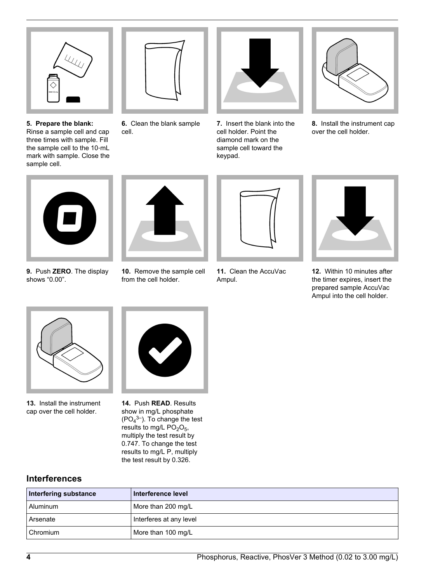

**5. Prepare the blank:** Rinse a sample cell and cap three times with sample. Fill the sample cell to the 10‑mL mark with sample. Close the sample cell.



**6.** Clean the blank sample cell.



**7.** Insert the blank into the cell holder. Point the diamond mark on the sample cell toward the keypad.



**8.** Install the instrument cap over the cell holder.



**9.** Push **ZERO**. The display shows "0.00".



**10.** Remove the sample cell from the cell holder.



**11.** Clean the AccuVac Ampul.



**12.** Within 10 minutes after the timer expires, insert the prepared sample AccuVac Ampul into the cell holder.



**13.** Install the instrument cap over the cell holder.



**14.** Push **READ**. Results show in mg/L phosphate  $(PO<sub>4</sub><sup>3–</sup>)$ . To change the test results to mg/L  $PO<sub>2</sub>O<sub>5</sub>$ , multiply the test result by 0.747. To change the test results to mg/L P, multiply the test result by 0.326.

# **Interferences**

| Interfering substance | Interference level      |
|-----------------------|-------------------------|
| Aluminum              | More than 200 mg/L      |
| Arsenate              | Interferes at any level |
| Chromium              | More than 100 mg/L      |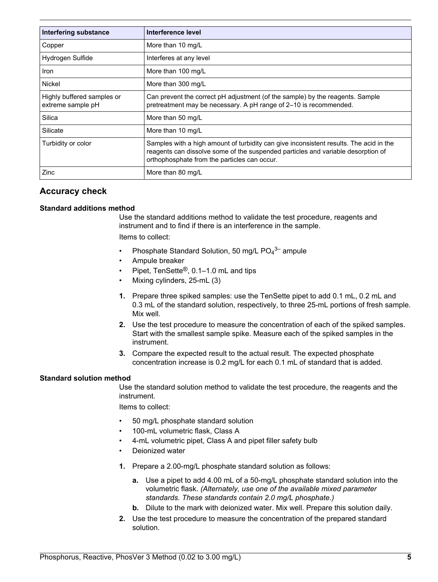| <b>Interfering substance</b>                    | Interference level                                                                                                                                                                                                         |
|-------------------------------------------------|----------------------------------------------------------------------------------------------------------------------------------------------------------------------------------------------------------------------------|
| Copper                                          | More than 10 mg/L                                                                                                                                                                                                          |
| Hydrogen Sulfide                                | Interferes at any level                                                                                                                                                                                                    |
| Iron                                            | More than 100 mg/L                                                                                                                                                                                                         |
| Nickel                                          | More than 300 mg/L                                                                                                                                                                                                         |
| Highly buffered samples or<br>extreme sample pH | Can prevent the correct pH adjustment (of the sample) by the reagents. Sample<br>pretreatment may be necessary. A pH range of 2-10 is recommended.                                                                         |
| Silica                                          | More than 50 mg/L                                                                                                                                                                                                          |
| Silicate                                        | More than 10 mg/L                                                                                                                                                                                                          |
| Turbidity or color                              | Samples with a high amount of turbidity can give inconsistent results. The acid in the<br>reagents can dissolve some of the suspended particles and variable desorption of<br>orthophosphate from the particles can occur. |
| Zinc                                            | More than 80 mg/L                                                                                                                                                                                                          |

# **Accuracy check**

### **Standard additions method**

Use the standard additions method to validate the test procedure, reagents and instrument and to find if there is an interference in the sample. Items to collect:

- Phosphate Standard Solution, 50 mg/L  $PO_4^{3-}$  ampule
- Ampule breaker
- Pipet, TenSette®, 0.1–1.0 mL and tips
- Mixing cylinders, 25-mL (3)
- **1.** Prepare three spiked samples: use the TenSette pipet to add 0.1 mL, 0.2 mL and 0.3 mL of the standard solution, respectively, to three 25-mL portions of fresh sample. Mix well.
- **2.** Use the test procedure to measure the concentration of each of the spiked samples. Start with the smallest sample spike. Measure each of the spiked samples in the instrument.
- **3.** Compare the expected result to the actual result. The expected phosphate concentration increase is 0.2 mg/L for each 0.1 mL of standard that is added.

#### **Standard solution method**

Use the standard solution method to validate the test procedure, the reagents and the instrument.

Items to collect:

- 50 mg/L phosphate standard solution
- 100-mL volumetric flask, Class A
- 4-mL volumetric pipet, Class A and pipet filler safety bulb
- Deionized water
- **1.** Prepare a 2.00-mg/L phosphate standard solution as follows:
	- **a.** Use a pipet to add 4.00 mL of a 50-mg/L phosphate standard solution into the volumetric flask. *(Alternately, use one of the available mixed parameter standards. These standards contain 2.0 mg/L phosphate.)*
	- **b.** Dilute to the mark with deionized water. Mix well. Prepare this solution daily.
- **2.** Use the test procedure to measure the concentration of the prepared standard solution.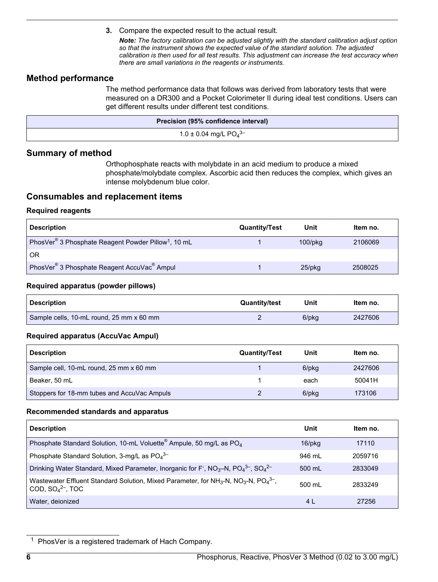**3.** Compare the expected result to the actual result.

*Note: The factory calibration can be adjusted slightly with the standard calibration adjust option so that the instrument shows the expected value of the standard solution. The adjusted calibration is then used for all test results. This adjustment can increase the test accuracy when there are small variations in the reagents or instruments.*

## <span id="page-5-0"></span>**Method performance**

The method performance data that follows was derived from laboratory tests that were measured on a DR300 and a Pocket Colorimeter II during ideal test conditions. Users can get different results under different test conditions.

| Precision (95% confidence interval)               |
|---------------------------------------------------|
| $1.0 \pm 0.04$ mg/L PO <sub>4</sub> <sup>3-</sup> |
|                                                   |

### **Summary of method**

Orthophosphate reacts with molybdate in an acid medium to produce a mixed phosphate/molybdate complex. Ascorbic acid then reduces the complex, which gives an intense molybdenum blue color.

## **Consumables and replacement items**

#### **Required reagents**

| <b>Description</b>                                                          | <b>Quantity/Test</b> | Unit          | Item no. |
|-----------------------------------------------------------------------------|----------------------|---------------|----------|
| PhosVer <sup>®</sup> 3 Phosphate Reagent Powder Pillow <sup>1</sup> , 10 mL |                      | $100$ /p $kg$ | 2106069  |
| <b>OR</b>                                                                   |                      |               |          |
| PhosVer <sup>®</sup> 3 Phosphate Reagent AccuVac <sup>®</sup> Ampul         |                      | $25$ /pkq     | 2508025  |

#### **Required apparatus (powder pillows)**

| <b>Description</b>                       | <b>Quantity/test</b> | Unit  | ltem no. |
|------------------------------------------|----------------------|-------|----------|
| Sample cells, 10-mL round, 25 mm x 60 mm |                      | 6/pkg | 2427606  |

#### **Required apparatus (AccuVac Ampul)**

| <b>Description</b>                          | <b>Quantity/Test</b> | Unit  | Item no. |
|---------------------------------------------|----------------------|-------|----------|
| Sample cell, 10-mL round, 25 mm x 60 mm     |                      | 6/pkg | 2427606  |
| Beaker, 50 mL                               |                      | each  | 50041H   |
| Stoppers for 18-mm tubes and AccuVac Ampuls |                      | 6/pkg | 173106   |

#### **Recommended standards and apparatus**

| <b>Description</b>                                                                                                                                                      | Unit         | Item no. |
|-------------------------------------------------------------------------------------------------------------------------------------------------------------------------|--------------|----------|
| Phosphate Standard Solution, 10-mL Voluette® Ampule, 50 mg/L as PO <sub>4</sub>                                                                                         | $16$ /p $kg$ | 17110    |
| Phosphate Standard Solution, 3-mg/L as PO <sub>4</sub> 3-                                                                                                               | 946 mL       | 2059716  |
| Drinking Water Standard, Mixed Parameter, Inorganic for F <sup>-</sup> , NO <sub>3</sub> -N, PO <sub>4</sub> <sup>3-</sup> , SO <sub>4</sub> <sup>2-</sup>              | 500 mL       | 2833049  |
| Wastewater Effluent Standard Solution, Mixed Parameter, for NH <sub>3</sub> -N, NO <sub>3</sub> -N, PO <sub>4</sub> <sup>3-</sup> ,<br>COD, $SO_4^2$ <sup>-</sup> , TOC | 500 ml       | 2833249  |
| Water, deionized                                                                                                                                                        | 4 L          | 27256    |

<sup>&</sup>lt;sup>1</sup> PhosVer is a registered trademark of Hach Company.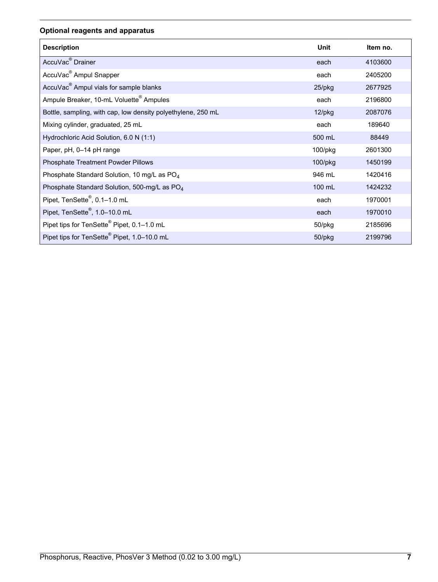# **Optional reagents and apparatus**

| <b>Description</b>                                           | Unit          | Item no. |
|--------------------------------------------------------------|---------------|----------|
| AccuVac <sup>®</sup> Drainer                                 | each          | 4103600  |
| AccuVac <sup>®</sup> Ampul Snapper                           | each          | 2405200  |
| AccuVac <sup>®</sup> Ampul vials for sample blanks           | $25$ /pkg     | 2677925  |
| Ampule Breaker, 10-mL Voluette <sup>®</sup> Ampules          | each          | 2196800  |
| Bottle, sampling, with cap, low density polyethylene, 250 mL | 12/pkg        | 2087076  |
| Mixing cylinder, graduated, 25 mL                            | each          | 189640   |
| Hydrochloric Acid Solution, 6.0 N (1:1)                      | 500 mL        | 88449    |
| Paper, pH, 0-14 pH range                                     | $100$ /p $kg$ | 2601300  |
| <b>Phosphate Treatment Powder Pillows</b>                    | 100/pkg       | 1450199  |
| Phosphate Standard Solution, 10 mg/L as PO <sub>4</sub>      | 946 mL        | 1420416  |
| Phosphate Standard Solution, 500-mg/L as PO <sub>4</sub>     | 100 mL        | 1424232  |
| Pipet, TenSette <sup>®</sup> , 0.1-1.0 mL                    | each          | 1970001  |
| Pipet, TenSette <sup>®</sup> , 1.0-10.0 mL                   | each          | 1970010  |
| Pipet tips for TenSette <sup>®</sup> Pipet, 0.1-1.0 mL       | 50/pkg        | 2185696  |
| Pipet tips for TenSette <sup>®</sup> Pipet, 1.0-10.0 mL      | 50/pkg        | 2199796  |